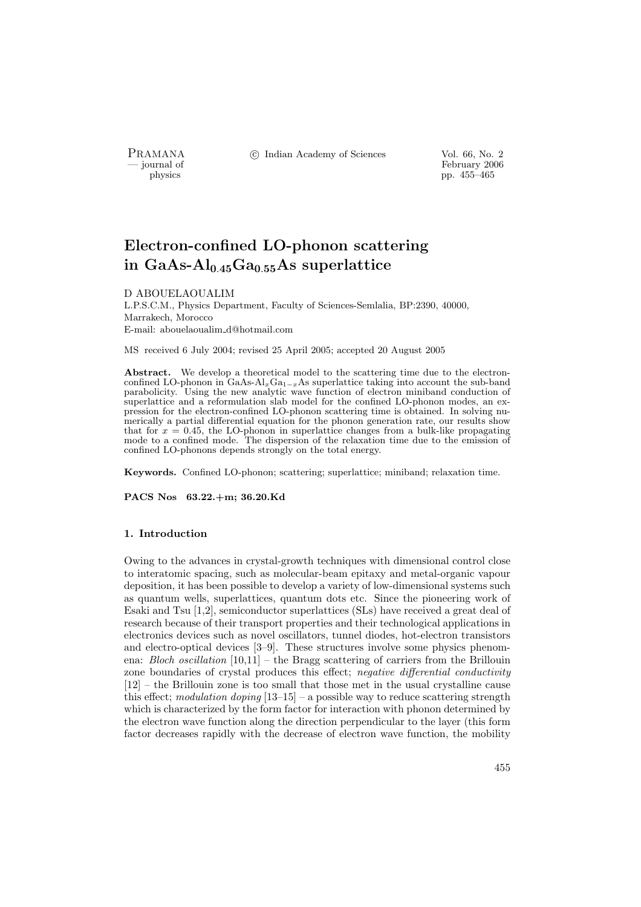PRAMANA °c Indian Academy of Sciences Vol. 66, No. 2

physics<br>
and the settlement of February 2006<br>
pp. 455–465<br>
pp. 455–465 pp. 455–465

# Electron-confined LO-phonon scattering in GaAs- $Al<sub>0.45</sub>Ga<sub>0.55</sub>As superlattice$

#### D ABOUELAOUALIM

L.P.S.C.M., Physics Department, Faculty of Sciences-Semlalia, BP:2390, 40000, Marrakech, Morocco E-mail: abouelaoualim d@hotmail.com

MS received 6 July 2004; revised 25 April 2005; accepted 20 August 2005

Abstract. We develop a theoretical model to the scattering time due to the electronconfined LO-phonon in  $GaAs-Al_xGa_{1-x}As$  superlattice taking into account the sub-band parabolicity. Using the new analytic wave function of electron miniband conduction of superlattice and a reformulation slab model for the confined LO-phonon modes, an expression for the electron-confined LO-phonon scattering time is obtained. In solving numerically a partial differential equation for the phonon generation rate, our results show that for  $x = 0.45$ , the LO-phonon in superlattice changes from a bulk-like propagating mode to a confined mode. The dispersion of the relaxation time due to the emission of confined LO-phonons depends strongly on the total energy.

Keywords. Confined LO-phonon; scattering; superlattice; miniband; relaxation time.

PACS Nos 63.22.+m; 36.20.Kd

## 1. Introduction

Owing to the advances in crystal-growth techniques with dimensional control close to interatomic spacing, such as molecular-beam epitaxy and metal-organic vapour deposition, it has been possible to develop a variety of low-dimensional systems such as quantum wells, superlattices, quantum dots etc. Since the pioneering work of Esaki and Tsu [1,2], semiconductor superlattices (SLs) have received a great deal of research because of their transport properties and their technological applications in electronics devices such as novel oscillators, tunnel diodes, hot-electron transistors and electro-optical devices [3–9]. These structures involve some physics phenomena: Bloch oscillation [10,11] – the Bragg scattering of carriers from the Brillouin zone boundaries of crystal produces this effect; negative differential conductivity [12] – the Brillouin zone is too small that those met in the usual crystalline cause this effect; modulation doping  $[13-15]$  – a possible way to reduce scattering strength which is characterized by the form factor for interaction with phonon determined by the electron wave function along the direction perpendicular to the layer (this form factor decreases rapidly with the decrease of electron wave function, the mobility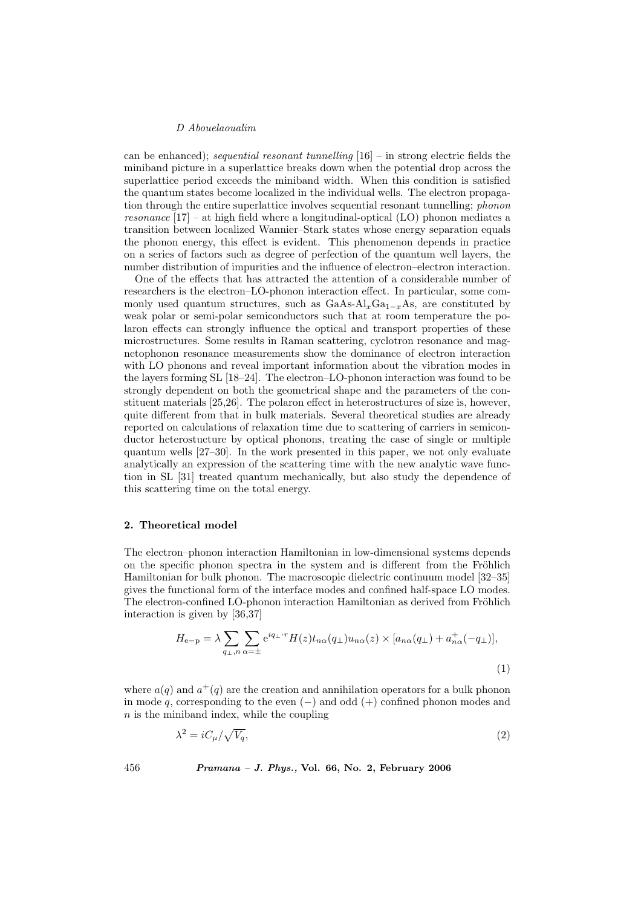can be enhanced); sequential resonant tunnelling  $[16]$  – in strong electric fields the miniband picture in a superlattice breaks down when the potential drop across the superlattice period exceeds the miniband width. When this condition is satisfied the quantum states become localized in the individual wells. The electron propagation through the entire superlattice involves sequential resonant tunnelling; phonon resonance  $[17]$  – at high field where a longitudinal-optical (LO) phonon mediates a transition between localized Wannier–Stark states whose energy separation equals the phonon energy, this effect is evident. This phenomenon depends in practice on a series of factors such as degree of perfection of the quantum well layers, the number distribution of impurities and the influence of electron–electron interaction.

One of the effects that has attracted the attention of a considerable number of researchers is the electron–LO-phonon interaction effect. In particular, some commonly used quantum structures, such as  $GaAs-Al_xGa_{1-x}As$ , are constituted by weak polar or semi-polar semiconductors such that at room temperature the polaron effects can strongly influence the optical and transport properties of these microstructures. Some results in Raman scattering, cyclotron resonance and magnetophonon resonance measurements show the dominance of electron interaction with LO phonons and reveal important information about the vibration modes in the layers forming SL [18–24]. The electron–LO-phonon interaction was found to be strongly dependent on both the geometrical shape and the parameters of the constituent materials [25,26]. The polaron effect in heterostructures of size is, however, quite different from that in bulk materials. Several theoretical studies are already reported on calculations of relaxation time due to scattering of carriers in semiconductor heterostucture by optical phonons, treating the case of single or multiple quantum wells [27–30]. In the work presented in this paper, we not only evaluate analytically an expression of the scattering time with the new analytic wave function in SL [31] treated quantum mechanically, but also study the dependence of this scattering time on the total energy.

#### 2. Theoretical model

The electron–phonon interaction Hamiltonian in low-dimensional systems depends on the specific phonon spectra in the system and is different from the Fröhlich Hamiltonian for bulk phonon. The macroscopic dielectric continuum model [32–35] gives the functional form of the interface modes and confined half-space LO modes. The electron-confined LO-phonon interaction Hamiltonian as derived from Fröhlich interaction is given by [36,37]

$$
H_{e-p} = \lambda \sum_{q_{\perp},n} \sum_{\alpha=\pm} e^{iq_{\perp} \cdot r} H(z) t_{n\alpha}(q_{\perp}) u_{n\alpha}(z) \times [a_{n\alpha}(q_{\perp}) + a_{n\alpha}^+(-q_{\perp})],
$$
\n(1)

where  $a(q)$  and  $a^+(q)$  are the creation and annihilation operators for a bulk phonon in mode  $q$ , corresponding to the even  $(-)$  and odd  $(+)$  confined phonon modes and  $n$  is the miniband index, while the coupling

$$
\lambda^2 = iC_\mu/\sqrt{V_q},\tag{2}
$$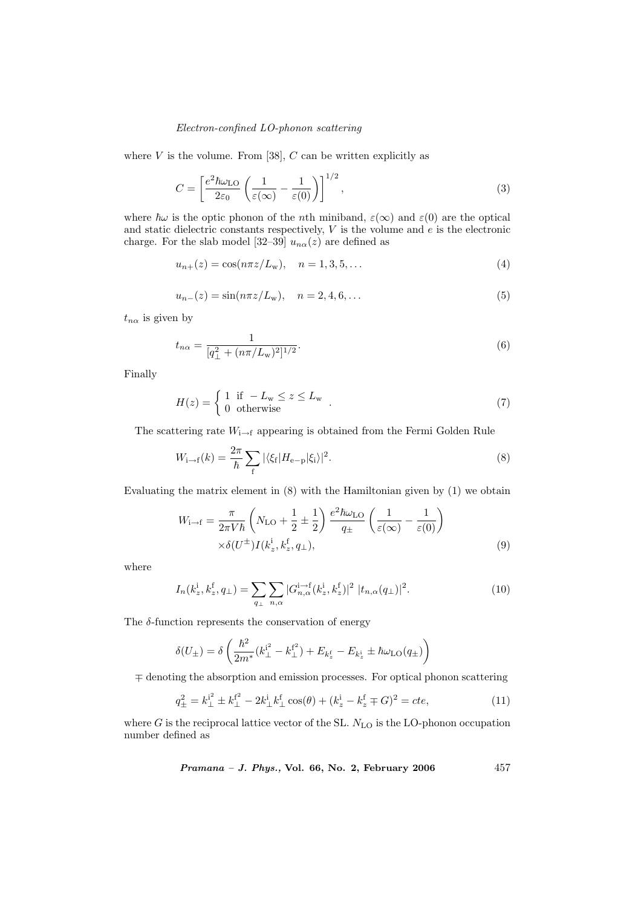## Electron-confined LO-phonon scattering

where  $V$  is the volume. From [38],  $C$  can be written explicitly as

$$
C = \left[\frac{e^2 \hbar \omega_{\text{LO}}}{2\varepsilon_0} \left(\frac{1}{\varepsilon(\infty)} - \frac{1}{\varepsilon(0)}\right)\right]^{1/2},\tag{3}
$$

where  $\hbar\omega$  is the optic phonon of the nth miniband,  $\varepsilon(\infty)$  and  $\varepsilon(0)$  are the optical and static dielectric constants respectively,  $V$  is the volume and  $e$  is the electronic charge. For the slab model [32–39]  $u_{n\alpha}(z)$  are defined as

$$
u_{n+}(z) = \cos(n\pi z/L_{\rm w}), \quad n = 1, 3, 5, \dots
$$
\n(4)

$$
u_{n-}(z) = \sin(n\pi z/L_{\rm w}), \quad n = 2, 4, 6, \dots \tag{5}
$$

 $t_{n\alpha}$  is given by

$$
t_{n\alpha} = \frac{1}{[q_{\perp}^2 + (n\pi/L_{\rm w})^2]^{1/2}}.\tag{6}
$$

Finally

$$
H(z) = \begin{cases} 1 & \text{if } -L_{\text{w}} \le z \le L_{\text{w}} \\ 0 & \text{otherwise} \end{cases} . \tag{7}
$$

The scattering rate  $W_{i\rightarrow f}$  appearing is obtained from the Fermi Golden Rule

$$
W_{\mathbf{i}\to\mathbf{f}}(k) = \frac{2\pi}{\hbar} \sum_{\mathbf{f}} |\langle \xi_{\mathbf{f}} | H_{\mathbf{e}-\mathbf{p}} | \xi_{\mathbf{i}} \rangle|^2.
$$
 (8)

Evaluating the matrix element in (8) with the Hamiltonian given by (1) we obtain

$$
W_{\mathbf{i}\to\mathbf{f}} = \frac{\pi}{2\pi V\hbar} \left( N_{\mathbf{LO}} + \frac{1}{2} \pm \frac{1}{2} \right) \frac{e^2 \hbar \omega_{\mathbf{LO}}}{q_{\pm}} \left( \frac{1}{\varepsilon(\infty)} - \frac{1}{\varepsilon(0)} \right) \times \delta(U^{\pm}) I(k_z^{\dagger}, k_z^{\dagger}, q_{\perp}), \tag{9}
$$

where

$$
I_n(k_z^i, k_z^f, q_\perp) = \sum_{q_\perp} \sum_{n,\alpha} |G_{n,\alpha}^{i \to f}(k_z^i, k_z^f)|^2 |t_{n,\alpha}(q_\perp)|^2.
$$
 (10)

The  $\delta$ -function represents the conservation of energy

$$
\delta(U_{\pm}) = \delta \left( \frac{\hbar^2}{2m^*} (k_{\perp}^{i^2} - k_{\perp}^{f^2}) + E_{k_z^f} - E_{k_z^i} \pm \hbar \omega_{LO}(q_{\pm}) \right)
$$

∓ denoting the absorption and emission processes. For optical phonon scattering

$$
q_{\pm}^2 = k_{\perp}^{i^2} \pm k_{\perp}^{f^2} - 2k_{\perp}^i k_{\perp}^f \cos(\theta) + (k_z^i - k_z^f \mp G)^2 = cte,\tag{11}
$$

where  $G$  is the reciprocal lattice vector of the SL.  $N_{\text{LO}}$  is the LO-phonon occupation number defined as

 $Pramana - J. Phys., Vol. 66, No. 2, February 2006  $457$$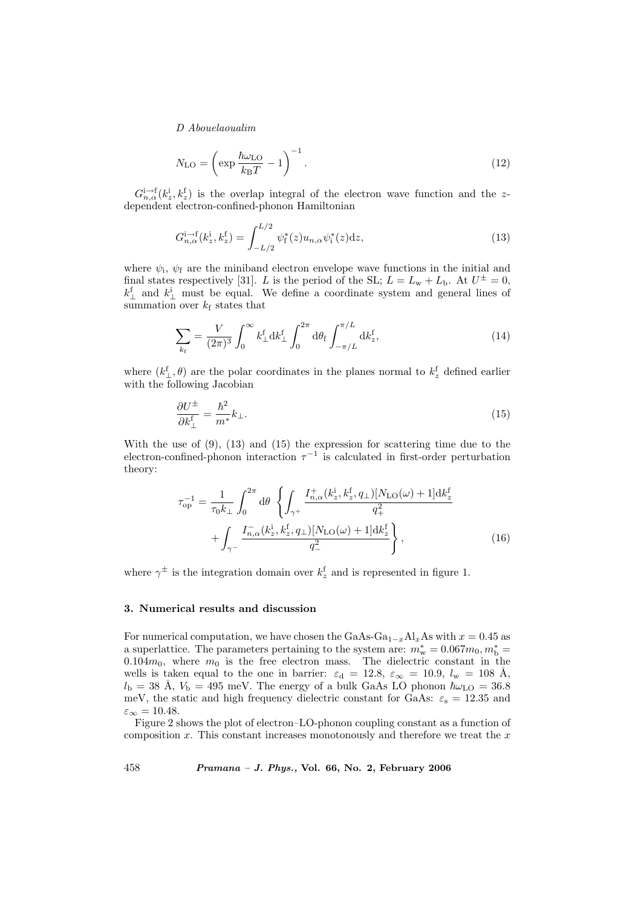$$
N_{\rm LO} = \left(\exp\frac{\hbar\omega_{\rm LO}}{k_{\rm B}T} - 1\right)^{-1}.\tag{12}
$$

 $G_{n,\alpha}^{i\to f}(k_z^i, k_z^f)$  is the overlap integral of the electron wave function and the zdependent electron-confined-phonon Hamiltonian

$$
G_{n,\alpha}^{i\to f}(k_z^i, k_z^f) = \int_{-L/2}^{L/2} \psi_f^*(z) u_{n,\alpha} \psi_i^*(z) dz,
$$
\n(13)

where  $\psi_i$ ,  $\psi_f$  are the miniband electron envelope wave functions in the initial and final states respectively [31]. L is the period of the SL;  $L = L_w + L_b$ . At  $U^{\pm} = 0$ ,  $k_{\perp}^{\text{f}}$  and  $k_{\perp}^{\text{i}}$  must be equal. We define a coordinate system and general lines of summation over  $k_f$  states that

$$
\sum_{k_{\rm f}} = \frac{V}{(2\pi)^3} \int_0^\infty k_{\perp}^{\rm f} {\rm d}k_{\perp}^{\rm f} \int_0^{2\pi} {\rm d}\theta_{\rm f} \int_{-\pi/L}^{\pi/L} {\rm d}k_z^{\rm f},\tag{14}
$$

where  $(k_{\perp}^{\rm f}, \theta)$  are the polar coordinates in the planes normal to  $k_z^{\rm f}$  defined earlier with the following Jacobian

$$
\frac{\partial U^{\pm}}{\partial k_{\perp}^{\mathbf{f}}} = \frac{\hbar^2}{m^*} k_{\perp}.
$$
\n(15)

With the use of (9), (13) and (15) the expression for scattering time due to the electron-confined-phonon interaction  $\tau^{-1}$  is calculated in first-order perturbation theory:

$$
\tau_{\rm op}^{-1} = \frac{1}{\tau_0 k_\perp} \int_0^{2\pi} d\theta \left\{ \int_{\gamma^+} \frac{I_{n,\alpha}^+(k_z^i, k_z^f, q_\perp) [N_{\rm LO}(\omega) + 1] \mathrm{d}k_z^{\rm f}}{q_+^2} + \int_{\gamma^-} \frac{I_{n,\alpha}^-(k_z^i, k_z^f, q_\perp) [N_{\rm LO}(\omega) + 1] \mathrm{d}k_z^{\rm f}}{q_-^2} \right\},\tag{16}
$$

where  $\gamma^{\pm}$  is the integration domain over  $k_z^{\text{f}}$  and is represented in figure 1.

## 3. Numerical results and discussion

For numerical computation, we have chosen the GaAs-Ga<sub>1-x</sub>Al<sub>x</sub>As with  $x = 0.45$  as a superlattice. The parameters pertaining to the system are:  $m_{\rm w}^* = 0.067 m_0, m_{\rm b}^* =$ 0.104 $m_0$ , where  $m_0$  is the free electron mass. The dielectric constant in the wells is taken equal to the one in barrier:  $\varepsilon_{\rm d} = 12.8, \varepsilon_{\infty} = 10.9, l_{\rm w} = 108$  Å,  $l_{\rm b}$  = 38 Å,  $V_{\rm b}$  = 495 meV. The energy of a bulk GaAs LO phonon  $\hbar\omega_{\rm LO}$  = 36.8 meV, the static and high frequency dielectric constant for GaAs:  $\varepsilon_s = 12.35$  and  $\varepsilon_{\infty} = 10.48.$ 

Figure 2 shows the plot of electron–LO-phonon coupling constant as a function of composition  $x$ . This constant increases monotonously and therefore we treat the  $x$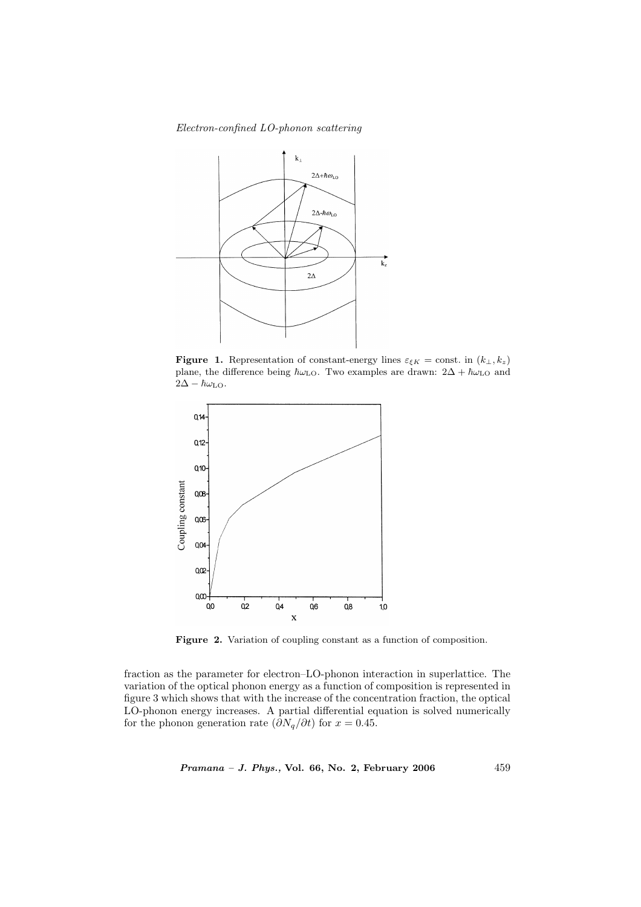Electron-confined LO-phonon scattering



**Figure 1.** Representation of constant-energy lines  $\varepsilon_{\xi K}$  = const. in  $(k_{\perp}, k_z)$ plane, the difference being  $\hbar\omega_{\text{LO}}$ . Two examples are drawn:  $2\Delta + \hbar\omega_{\text{LO}}$  and  $2\Delta - \hbar\omega_{\text{LO}}$ .



Figure 2. Variation of coupling constant as a function of composition.

fraction as the parameter for electron–LO-phonon interaction in superlattice. The variation of the optical phonon energy as a function of composition is represented in figure 3 which shows that with the increase of the concentration fraction, the optical LO-phonon energy increases. A partial differential equation is solved numerically for the phonon generation rate  $(\partial N_q/\partial t)$  for  $x = 0.45$ .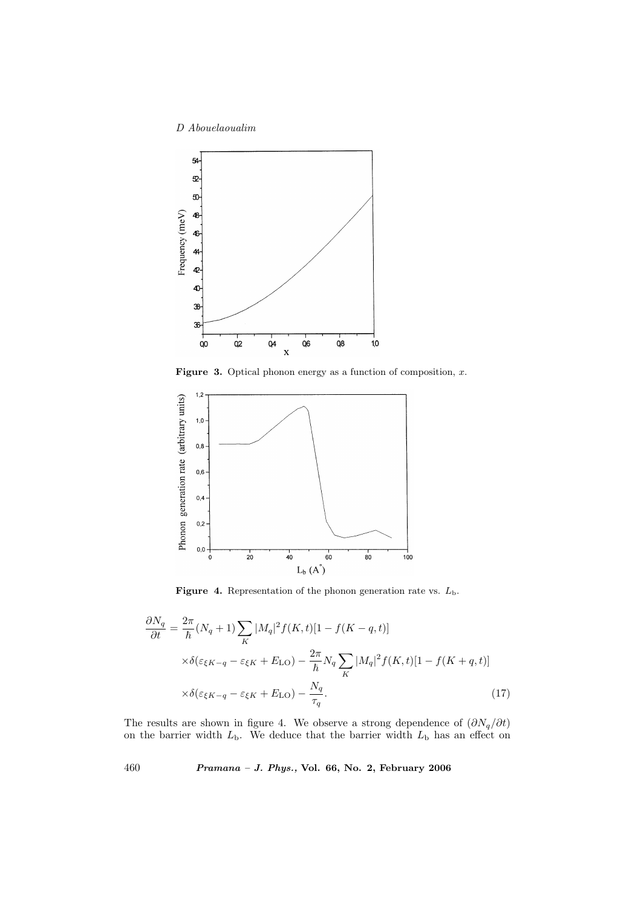

**Figure 3.** Optical phonon energy as a function of composition,  $x$ .



**Figure 4.** Representation of the phonon generation rate vs.  $L_{\rm b}$ .

$$
\frac{\partial N_q}{\partial t} = \frac{2\pi}{\hbar} (N_q + 1) \sum_K |M_q|^2 f(K, t) [1 - f(K - q, t)]
$$
  
 
$$
\times \delta(\varepsilon_{\xi K - q} - \varepsilon_{\xi K} + E_{\text{LO}}) - \frac{2\pi}{\hbar} N_q \sum_K |M_q|^2 f(K, t) [1 - f(K + q, t)]
$$
  
 
$$
\times \delta(\varepsilon_{\xi K - q} - \varepsilon_{\xi K} + E_{\text{LO}}) - \frac{N_q}{\tau_q}.
$$
 (17)

The results are shown in figure 4. We observe a strong dependence of  $(\partial N_q/\partial t)$ on the barrier width  $L<sub>b</sub>$ . We deduce that the barrier width  $L<sub>b</sub>$  has an effect on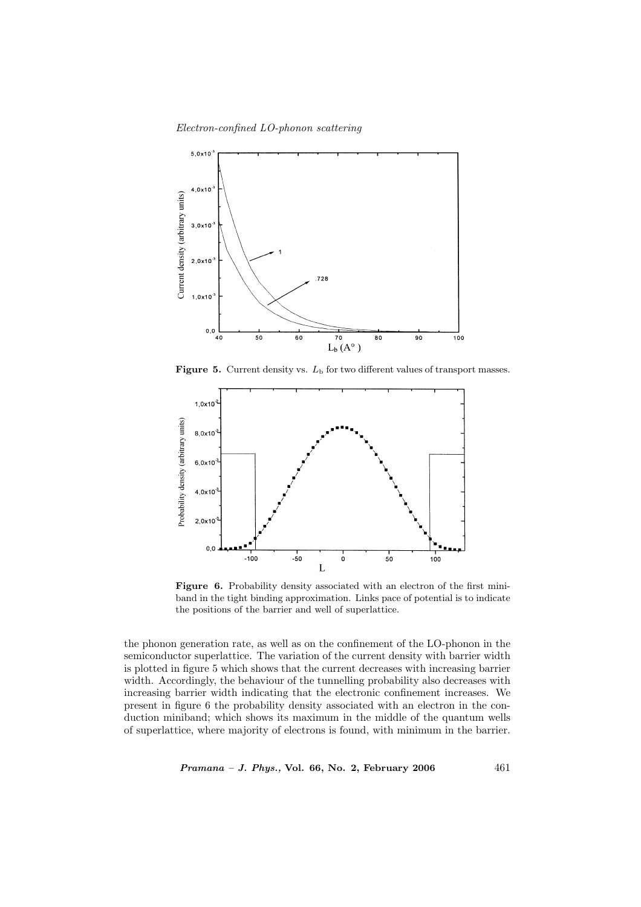Electron-confined LO-phonon scattering



Figure 5. Current density vs.  $L<sub>b</sub>$  for two different values of transport masses.



Figure 6. Probability density associated with an electron of the first miniband in the tight binding approximation. Links pace of potential is to indicate the positions of the barrier and well of superlattice.

the phonon generation rate, as well as on the confinement of the LO-phonon in the semiconductor superlattice. The variation of the current density with barrier width is plotted in figure 5 which shows that the current decreases with increasing barrier width. Accordingly, the behaviour of the tunnelling probability also decreases with increasing barrier width indicating that the electronic confinement increases. We present in figure 6 the probability density associated with an electron in the conduction miniband; which shows its maximum in the middle of the quantum wells of superlattice, where majority of electrons is found, with minimum in the barrier.

 $Pramana - J. Phys., Vol. 66, No. 2, February 2006  $461$$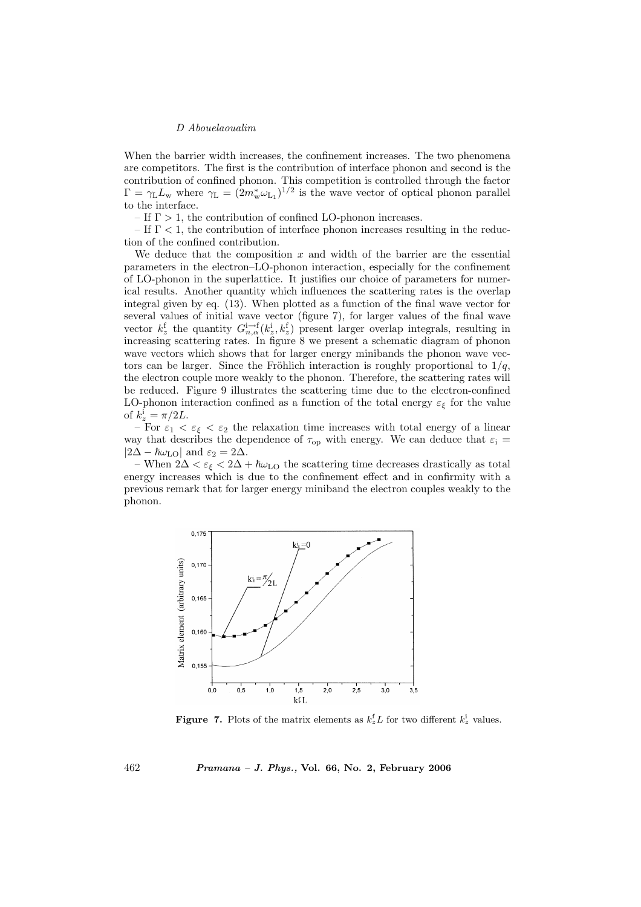When the barrier width increases, the confinement increases. The two phenomena are competitors. The first is the contribution of interface phonon and second is the contribution of confined phonon. This competition is controlled through the factor  $\Gamma = \gamma_{\rm L} L_{\rm w}$  where  $\gamma_{\rm L} = (2m_{\rm w}^* \omega_{\rm L_1})^{1/2}$  is the wave vector of optical phonon parallel to the interface.

– If  $\Gamma > 1$ , the contribution of confined LO-phonon increases.

– If  $\Gamma$  < 1, the contribution of interface phonon increases resulting in the reduction of the confined contribution.

We deduce that the composition  $x$  and width of the barrier are the essential parameters in the electron–LO-phonon interaction, especially for the confinement of LO-phonon in the superlattice. It justifies our choice of parameters for numerical results. Another quantity which influences the scattering rates is the overlap integral given by eq. (13). When plotted as a function of the final wave vector for several values of initial wave vector (figure 7), for larger values of the final wave vector  $k_z^f$  the quantity  $G_{n,\alpha}^{i\to f}(k_z^i, k_z^f)$  present larger overlap integrals, resulting in increasing scattering rates. In figure 8 we present a schematic diagram of phonon wave vectors which shows that for larger energy minibands the phonon wave vectors can be larger. Since the Fröhlich interaction is roughly proportional to  $1/q$ , the electron couple more weakly to the phonon. Therefore, the scattering rates will be reduced. Figure 9 illustrates the scattering time due to the electron-confined LO-phonon interaction confined as a function of the total energy  $\varepsilon_{\xi}$  for the value of  $k_z^i = \pi/2L$ .

– For  $\varepsilon_1 < \varepsilon_\xi < \varepsilon_2$  the relaxation time increases with total energy of a linear way that describes the dependence of  $\tau_{\rm op}$  with energy. We can deduce that  $\varepsilon_{\rm i}$  =  $|2\Delta - \hbar\omega_{\text{LO}}|$  and  $\varepsilon_2 = 2\Delta$ .

– When  $2\Delta < \varepsilon$ <sub>ξ</sub> <  $2\Delta + \hbar \omega$ <sub>LO</sub> the scattering time decreases drastically as total energy increases which is due to the confinement effect and in confirmity with a previous remark that for larger energy miniband the electron couples weakly to the phonon.



**Figure 7.** Plots of the matrix elements as  $k_z^f L$  for two different  $k_z^i$  values.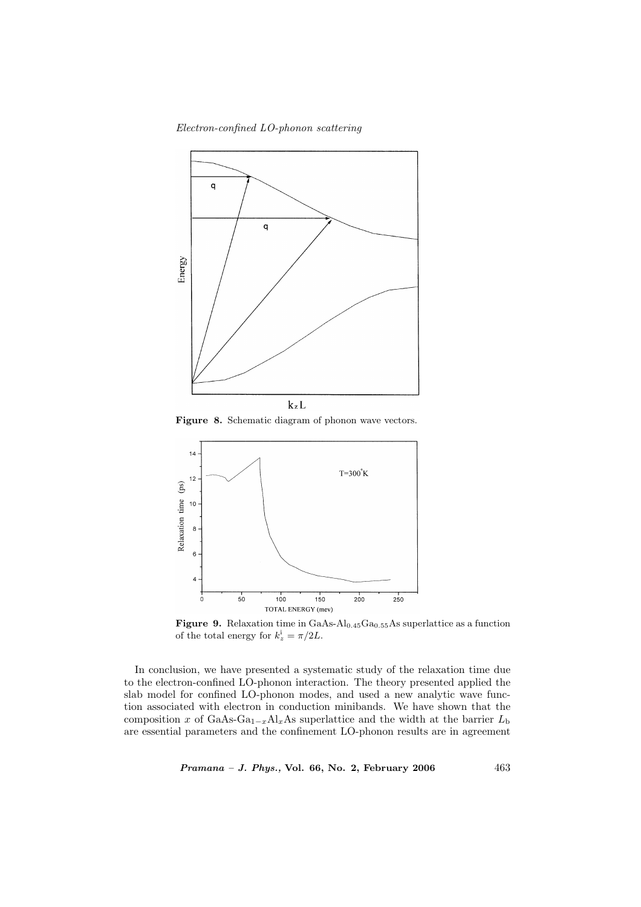Electron-confined LO-phonon scattering



Figure 8. Schematic diagram of phonon wave vectors.



Figure 9. Relaxation time in  $GaAs-Al_{0.45}Ga_{0.55}As$  superlattice as a function of the total energy for  $k_z^i = \pi/2L$ .

In conclusion, we have presented a systematic study of the relaxation time due to the electron-confined LO-phonon interaction. The theory presented applied the slab model for confined LO-phonon modes, and used a new analytic wave function associated with electron in conduction minibands. We have shown that the composition x of GaAs-Ga<sub>1-x</sub>Al<sub>x</sub>As superlattice and the width at the barrier  $L_{\rm b}$ are essential parameters and the confinement LO-phonon results are in agreement

 $Pramana - J. Phys., Vol. 66, No. 2, February 2006  $463$$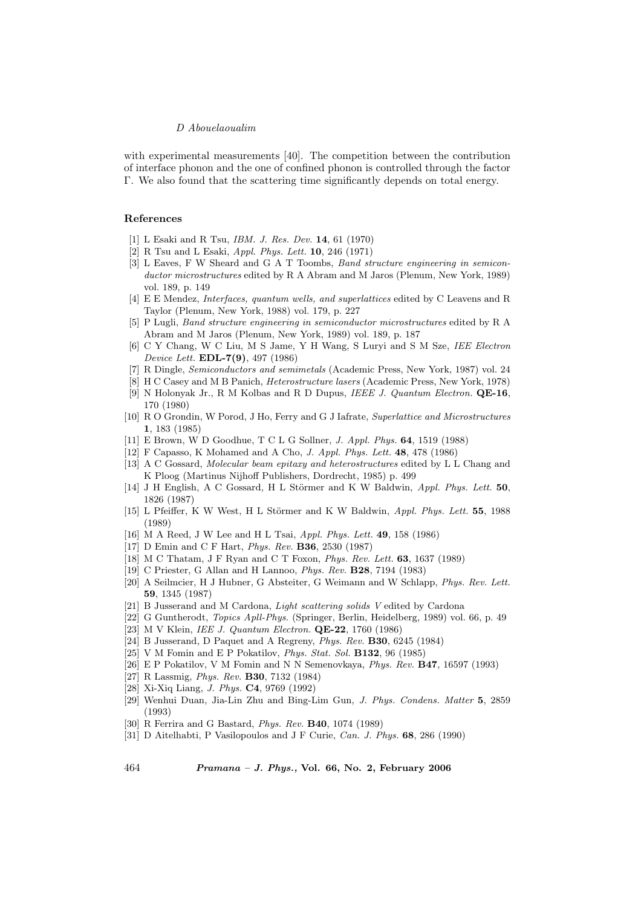with experimental measurements [40]. The competition between the contribution of interface phonon and the one of confined phonon is controlled through the factor Γ. We also found that the scattering time significantly depends on total energy.

#### References

- [1] L Esaki and R Tsu, *IBM. J. Res. Dev.* **14**, 61 (1970)
- [2] R Tsu and L Esaki, Appl. Phys. Lett. 10, 246 (1971)
- [3] L Eaves, F W Sheard and G A T Toombs, Band structure engineering in semiconductor microstructures edited by R A Abram and M Jaros (Plenum, New York, 1989) vol. 189, p. 149
- [4] E E Mendez, Interfaces, quantum wells, and superlattices edited by C Leavens and R Taylor (Plenum, New York, 1988) vol. 179, p. 227
- [5] P Lugli, Band structure engineering in semiconductor microstructures edited by R A Abram and M Jaros (Plenum, New York, 1989) vol. 189, p. 187
- [6] C Y Chang, W C Liu, M S Jame, Y H Wang, S Luryi and S M Sze, IEE Electron Device Lett. EDL-7(9), 497 (1986)
- [7] R Dingle, Semiconductors and semimetals (Academic Press, New York, 1987) vol. 24
- [8] H C Casey and M B Panich, Heterostructure lasers (Academic Press, New York, 1978)
- [9] N Holonyak Jr., R M Kolbas and R D Dupus, IEEE J. Quantum Electron. QE-16, 170 (1980)
- [10] R O Grondin, W Porod, J Ho, Ferry and G J Iafrate, Superlattice and Microstructures 1, 183 (1985)
- [11] E Brown, W D Goodhue, T C L G Sollner, J. Appl. Phys. 64, 1519 (1988)
- [12] F Capasso, K Mohamed and A Cho, J. Appl. Phys. Lett. 48, 478 (1986)
- [13] A C Gossard, Molecular beam epitaxy and heterostructures edited by L L Chang and K Ploog (Martinus Nijhoff Publishers, Dordrecht, 1985) p. 499
- [14] J H English, A C Gossard, H L Störmer and K W Baldwin, Appl. Phys. Lett. 50, 1826 (1987)
- [15] L Pfeiffer, K W West, H L Störmer and K W Baldwin, Appl. Phys. Lett. 55, 1988 (1989)
- [16] M A Reed, J W Lee and H L Tsai, Appl. Phys. Lett. 49, 158 (1986)
- [17] D Emin and C F Hart, Phys. Rev. B36, 2530 (1987)
- [18] M C Thatam, J F Ryan and C T Foxon, Phys. Rev. Lett. 63, 1637 (1989)
- [19] C Priester, G Allan and H Lannoo, Phys. Rev. B28, 7194 (1983)
- [20] A Seilmcier, H J Hubner, G Absteiter, G Weimann and W Schlapp, Phys. Rev. Lett. 59, 1345 (1987)
- [21] B Jusserand and M Cardona, Light scattering solids V edited by Cardona
- [22] G Guntherodt, Topics Apll-Phys. (Springer, Berlin, Heidelberg, 1989) vol. 66, p. 49
- [23] M V Klein, IEE J. Quantum Electron. QE-22, 1760 (1986)
- [24] B Jusserand, D Paquet and A Regreny, Phys. Rev. B30, 6245 (1984)
- [25] V M Fomin and E P Pokatilov, Phys. Stat. Sol. B132, 96 (1985)
- [26] E P Pokatilov, V M Fomin and N N Semenovkaya, Phys. Rev. **B47**, 16597 (1993)
- [27] R Lassmig, Phys. Rev. B30, 7132 (1984)
- [28] Xi-Xiq Liang, J. Phys. C4, 9769 (1992)
- [29] Wenhui Duan, Jia-Lin Zhu and Bing-Lim Gun, J. Phys. Condens. Matter 5, 2859 (1993)
- [30] R Ferrira and G Bastard, Phys. Rev. B40, 1074 (1989)
- [31] D Aitelhabti, P Vasilopoulos and J F Curie, Can. J. Phys. 68, 286 (1990)